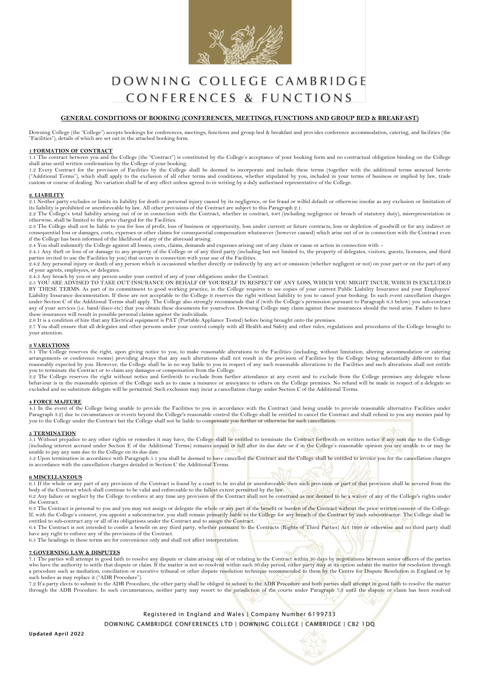

# DOWNING COLLEGE CAMBRIDGE CONFERENCES & FUNCTIONS

# **GENERAL CONDITIONS OF BOOKING (CONFERENCES, MEETINGS, FUNCTIONS AND GROUP BED & BREAKFAST)**

Downing College (the "College") accepts bookings for conferences, meetings, functions and group bed & breakfast and provides conference accommodation, catering, and facilities (the "Facilities"), details of which are set out in the attached booking form.

#### **1 FORMATION OF CONTRACT**

1.1 The contract between you and the College (the "Contract") is constituted by the College's acceptance of your booking form and no contractual obligation binding on the College shall arise until written confirmation by the College of your booking.

1.2 Every Contract for the provision of Facilities by the College shall be deemed to incorporate and include these terms (together with the additional terms annexed hereto ("Additional Terms"), which shall apply to the exc custom or course of dealing. No variation shall be of any effect unless agreed to in writing by a duly authorised representative of the College.

#### **2. LIABILITY**

2.1 Neither party excludes or limits its liability for death or personal injury caused by its negligence, or for fraud or wilful default or otherwise insofar as any exclusion or limitation of its liability is prohibited or unenforceable by law. All other provisions of the Contract are subject to this Paragraph 2.1.

2.2 The College's total liability arising out of or in connection with the Contract, whether in contract, tort (including negligence or breach of statutory duty), misrepresentation or otherwise, shall be limited to the price charged for the Facilities.

2.3 The College shall not be liable to you for loss of profit, loss of business or opportunity, loss under current or future contracts, loss or depletion of goodwill or for any indirect or<br>consequential loss or damages, co if the College has been informed of the likelihood of any of the aforesaid arising.

2.4 You shall indemnify the College against all losses, costs, claims, demands and expenses arising out of any claim or cause or action in connection with: -<br>2.4.1 Any theft or loss of or damage to any property of the Coll parties invited to use the Facilities by you) that occurs in connection with your use of the Facilities.

2.4.2 Any personal injury or death of any person which is occasioned whether directly or indirectly by any act or omission (whether negligent or not) on your part or on the part of any of your agents, employees, or delegates.

2.4.3 Any breach by you or any person under your control of any of your obligations under the Contract.<br>2.5 YOU ARE ADVISED TO TAKE OUT INSURANCE ON BEHALF OF YOURSELF IN RESPECT OF ANY LOSS, WHICH YOU MIGHT INCUR, WHICH I BY THESE TERMS. As part of its commitment to good working practice, in the College requires to see copies of your current Public Liability Insurance and your Employees' Liability Insurance documentation. If these are not acceptable to the College it reserves the right without liability to you to cancel your booking. In such event cancellation charges under Section C of the Additional Terms shall apply. The College also strongly recommends that if (with the College's permission pursuant to Paragraph 6.3 below) you sub-contract any of your services (i.e. band/disco etc) that you obtain these documents for yourselves. Downing College may claim against these insurances should the need arise. Failure to have<br>these insurances will result in possible

2.6 It is a condition of hire that any Electrical equipment is PAT (Portable Appliance Tested) before being brought onto the premises.

2.7 You shall ensure that all delegates and other persons under your control comply with all Health and Safety and other rules, regulations and procedures of the College brought to your attention.

#### **3 VARIATIONS**

3.1 The College reserves the right, upon giving notice to you, to make reasonable alterations to the Facilities (including, without limitation, altering accommodation or catering arrangements or conference rooms) providing always that any such alterations shall not result in the provision of Facilities by the College being substantially different to that<br>reasonably expected by you. However, the Col

you to terminate the Contract or to claim any damages or compensation from the College.<br>3.2 The College reserves the right without notice and forthwith to exclude from further attendance at any event and to exclude from th behaviour is in the reasonable opinion of the College such as to cause a nuisance or annoyance to others on the College premises. No refund will be made in respect of a delegate so excluded and no substitute delegate will be permitted. Such exclusion may incur a cancellation charge under Section C of the Additional Terms.

#### **4 FORCE MAJEURE**

4.1 In the event of the College being unable to provide the Facilities to you in accordance with the Contract (and being unable to provide reasonable alternative Facilities under Paragraph 3.2) due to circumstances or events beyond the College's reasonable control the College shall be entitled to cancel the Contract and shall refund to you any monies paid by<br>you to the College under the Contract bu

#### **5 TERMINATION**

5.1 Without prejudice to any other rights or remedies it may have, the College shall be entitled to terminate the Contract forthwith on written notice if any sum due to the College (including interest accrued under Section E of the Additional Terms) remains unpaid in full after its due date or if in the College's reasonable opinion you are unable to or may be unable to pay any sum due to the College on its due date.<br>5.2 Upon termination in accordance with Paragraph 5.1 you shall be deemed to have cancelled the Contract and the College shall be entitled to invoice you for the ca

in accordance with the cancellation charges detailed in Section C the Additional Terms.

#### **6 MISCELLANEOUS**

6.1 If the whole or any part of any provision of the Contract is found by a court to be invalid or unenforceable then such provision or part of that provision shall be severed from the body of the Contract which shall cont 6.2 Any failure or neglect by the College to enforce at any time any provision of the Contract shall not be construed as nor deemed to be a waiver of any of the College's rights under

the Contract.

6.3 The Contract is personal to you and you may not assign or delegate the whole or any part of the benefit or burden of the Contract without the prior written consent of the College.<br>If, with the College's consent, you ap entitled to sub-contract any or all of its obligations under the Contract and to assign the Contract.

6.4 The Contract is not intended to confer a benefit on any third party, whether pursuant to the Contracts (Rights of Third Parties) Act 1999 or otherwise and no third party shall have any right to enforce any of the provisions of the Contract.

6.5 The headings in these terms are for convenience only and shall not affect interpretation.

#### **7 GOVERNING LAW & DISPUTES**

7.1 The parties will attempt in good faith to resolve any dispute or claim arising out of or relating to the Contract within 30 days by negotiations between senior officers of the parties who have the authority to settle that dispute or claim. If the matter is not so resolved within such 30 day period, either party may at its option submit the matter for resolution through<br>a procedure such as mediation, con such bodies as may replace it ("ADR Procedure")

7.2 If a party elects to submit to the ADR Procedure, the other party shall be obliged to submit to the ADR Procedure and both parties shall attempt in good faith to resolve the matter through the ADR Procedure. In such circumstances, neither party may resort to the jurisdiction of the courts under Paragraph 7.3 until the dispute or claim has been resolved

> Registered in England and Wales | Company Number 6199733 DOWNING CAMBRIDGE CONFERENCES LTD | DOWNING COLLEGE | CAMBRIDGE | CB2 1DQ

Updated April 2022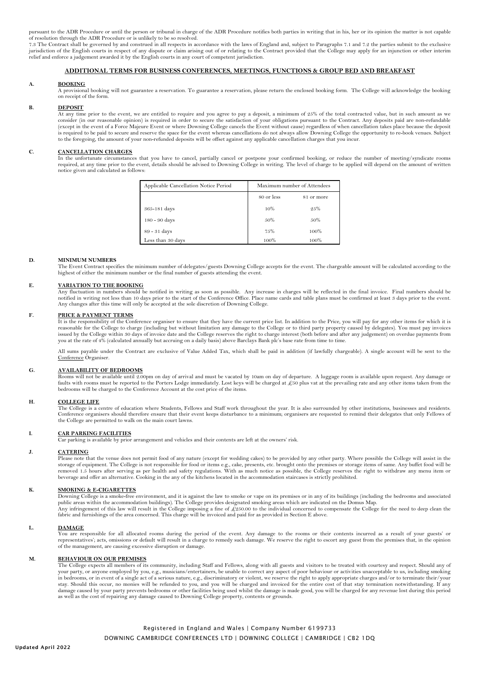pursuant to the ADR Procedure or until the person or tribunal in charge of the ADR Procedure notifies both parties in writing that in his, her or its opinion the matter is not capable of resolution through the ADR Procedure or is unlikely to be so resolved.

7.3 The Contract shall be governed by and construed in all respects in accordance with the laws of England and, subject to Paragraphs 7.1 and 7.2 the parties submit to the exclusive jurisdiction of the English courts in respect of any dispute or claim arising out of or relating to the Contract provided that the College may apply for an injunction or other interim<br>relief and enforce a judgement awarded

# **ADDITIONAL TERMS FOR BUSINESS CONFERENCES, MEETINGS, FUNCTIONS & GROUP BED AND BREAKFAST**

#### **A. BOOKING**

A provisional booking will not guarantee a reservation. To guarantee a reservation, please return the enclosed booking form. The College will acknowledge the booking on receipt of the form.

#### **B. DEPOSIT**

At any time prior to the event, we are entitled to require and you agree to pay a deposit, a minimum of 25% of the total contracted value, but in such amount as we<br>consider (in our reasonable opinion) is required in order (except in the event of a Force Majeure Event or where Downing College cancels the Event without cause) regardless of when cancellation takes place because the deposit is required to be paid to secure and reserve the space for the event whereas cancellations do not always allow Downing College the opportunity to re-book venues. Subject to the foregoing, the amount of your non-refunded deposits will be offset against any applicable cancellation charges that you incur.

#### **C. CANCELLATION CHARGES**

In the unfortunate circumstances that you have to cancel, partially cancel or postpone your confirmed booking, or reduce the number of meeting/syndicate rooms required, at any time prior to the event, details should be advised to Downing College in writing. The level of charge to be applied will depend on the amount of written notice given and calculated as follows:

| Applicable Cancellation Notice Period | Maximum number of Attendees |            |
|---------------------------------------|-----------------------------|------------|
|                                       | 80 or less                  | 81 or more |
| 365-181 days                          | 10%                         | 25%        |
| 180 - 90 days                         | 50%                         | 50%        |
| $89 - 31$ days                        | 75%                         | 100%       |
| Less than 30 days                     | 100%                        | 100%       |

#### **D. MINIMUM NUMBERS**

The Event Contract specifies the minimum number of delegates/guests Downing College accepts for the event. The chargeable amount will be calculated according to the highest of either the minimum number or the final number of guests attending the event.

#### **E. VARIATION TO THE BOOKING**

Any fluctuation in numbers should be notified in writing as soon as possible. Any increase in charges will be reflected in the final invoice. Final numbers should be notified in writing not less than 10 days prior to the start of the Conference Office. Place name cards and table plans must be confirmed at least 3 days prior to the event. Any changes after this time will only be accepted at the sole discretion of Downing College.

#### **F. PRICE & PAYMENT TERMS**

It is the responsibility of the Conference organiser to ensure that they have the current price list. In addition to the Price, you will pay for any other items for which it is reasonable for the College to charge (including but without limitation any damage to the College or to third party property caused by delegates). You must pay invoices issued by the College within 30 days of invoice date and the College reserves the right to charge interest (both before and after any judgement) on overdue payments from you at the rate of 4% (calculated annually but accruing on a daily basis) above Barclays Bank plc's base rate from time to time.

All sums payable under the Contract are exclusive of Value Added Tax, which shall be paid in addition (if lawfully chargeable). A single account will be sent to the Conference Organiser.

#### **G. AVAILABILITY OF BEDROOMS**

Rooms will not be available until 2.00pm on day of arrival and must be vacated by 10am on day of departure. A luggage room is available upon request. Any damage or faults with rooms must be reported to the Porters Lodge immediately. Lost keys will be charged at £50 plus vat at the prevailing rate and any other items taken from the bedrooms will be charged to the Conference Account at the cost price of the items.

#### **H. COLLEGE LIFE**

The College is a centre of education where Students, Fellows and Staff work throughout the year. It is also surrounded by other institutions, businesses and residents. Conference organisers should therefore ensure that their event keeps disturbance to a minimum; organisers are requested to remind their delegates that only Fellows of the College are permitted to walk on the main court lawns.

## **I. CAR PARKING FACILITIES**

Car parking is available by prior arrangement and vehicles and their contents are left at the owners' risk.

#### **J. CATERING**

Please note that the venue does not permit food of any nature (except for wedding cakes) to be provided by any other party. Where possible the College will assist in the storage of equipment. The College is not responsible beverage and offer an alternative. Cooking in the any of the kitchens located in the accommodation staircases is strictly prohibited.

#### **K. SMOKING & E-CIGARETTES**

Downing College is a smoke-free environment, and it is against the law to smoke or vape on its premises or in any of its buildings (including the bedrooms and associated public areas within the accommodation buildings). The College provides designated smoking areas which are indicated on the Domus Map. Any infringement of this law will result in the College imposing a fine of £250.00 to the individual concerned to compensate the College for the need to deep clean the<br>fabric and furnishings of the area concerned. This cha

# **L. DAMAGE**

You are responsible for all allocated rooms during the period of the event. Any damage to the rooms or their contents incurred as a result of your guests' or representatives'; acts, omissions or default will result in a charge to remedy such damage. We reserve the right to escort any guest from the premises that, in the opinion of the management, are causing excessive disruption or damage.

#### **M. BEHAVIOUR ON OUR PREMISES**

The College expects all members of its community, including Staff and Fellows, along with all guests and visitors to be treated with courtesy and respect. Should any of<br>your party, or anyone employed by you, e.g., musician stay. Should this occur, no monies will be refunded to you, and you will be charged and invoiced for the entire cost of that stay termination notwithstanding. If any<br>damage caused by your party prevents bedrooms or other f as well as the cost of repairing any damage caused to Downing College property, contents or grounds.